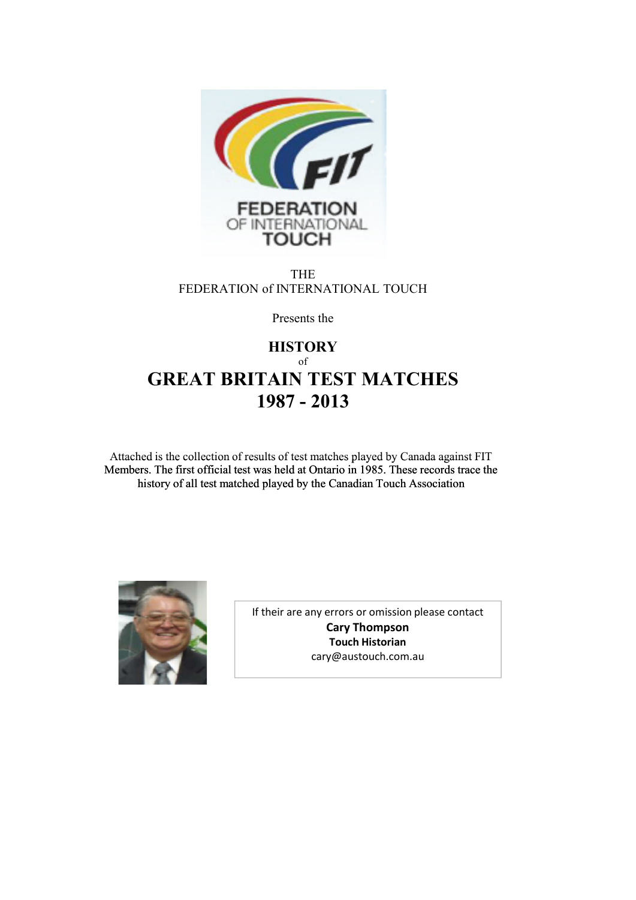

THE FEDERATION of INTERNATIONAL TOUCH

Presents the

## **HISTORY** of **GREAT BRITAIN TEST MATCHES 1987 - 2013**

Attached is the collection of results of test matches played by Canada against FIT Members. The first official test was held at Ontario in 1985. These records trace the history of all test matched played by the Canadian Touch Association



If their are any errors or omission please contact **Cary Thompson Touch Historian** cary@austouch.com.au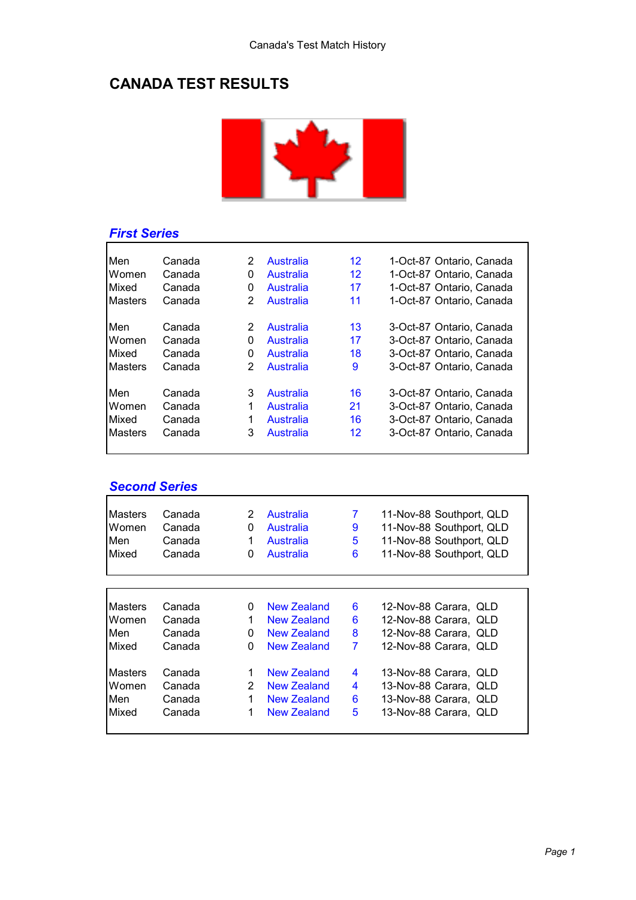## **CANADA TEST RESULTS**



# *First Series*

| Men     | Canada | 2 | Australia | 12 | 1-Oct-87 Ontario, Canada |
|---------|--------|---|-----------|----|--------------------------|
| Women   | Canada | 0 | Australia | 12 | 1-Oct-87 Ontario, Canada |
| Mixed   | Canada | 0 | Australia | 17 | 1-Oct-87 Ontario, Canada |
| Masters | Canada | 2 | Australia | 11 | 1-Oct-87 Ontario, Canada |
| Men     | Canada | 2 | Australia | 13 | 3-Oct-87 Ontario, Canada |
| Women   | Canada | 0 | Australia | 17 | 3-Oct-87 Ontario, Canada |
| Mixed   | Canada | 0 | Australia | 18 | 3-Oct-87 Ontario, Canada |
| Masters | Canada | 2 | Australia | 9  | 3-Oct-87 Ontario, Canada |
| Men     | Canada | 3 | Australia | 16 | 3-Oct-87 Ontario, Canada |
| Women   | Canada | 1 | Australia | 21 | 3-Oct-87 Ontario, Canada |
| Mixed   | Canada | 1 | Australia | 16 | 3-Oct-87 Ontario, Canada |
| Masters | Canada | 3 | Australia | 12 | 3-Oct-87 Ontario, Canada |
|         |        |   |           |    |                          |

#### *Second Series*

| <b>Masters</b> | Canada | 2        | Australia   | 7 | 11-Nov-88 Southport, QLD |
|----------------|--------|----------|-------------|---|--------------------------|
| Women          | Canada | 0        | Australia   | 9 | 11-Nov-88 Southport, QLD |
| Men            | Canada | 1        | Australia   | 5 | 11-Nov-88 Southport, QLD |
| Mixed          | Canada | 0        | Australia   | 6 | 11-Nov-88 Southport, QLD |
|                |        |          |             |   |                          |
|                |        |          |             |   |                          |
| <b>Masters</b> | Canada | $\Omega$ | New Zealand | 6 | 12-Nov-88 Carara, QLD    |
| <b>Women</b>   | Canada | 1        | New Zealand | 6 | 12-Nov-88 Carara, QLD    |
| Men            | Canada | 0        | New Zealand | 8 | 12-Nov-88 Carara, QLD    |
| Mixed          | Canada | 0        | New Zealand | 7 | 12-Nov-88 Carara, QLD    |
| <b>Masters</b> | Canada | 1        | New Zealand | 4 | 13-Nov-88 Carara, QLD    |
| Women          | Canada | 2        | New Zealand | 4 | 13-Nov-88 Carara, QLD    |
| Men            | Canada | 1        | New Zealand | 6 | 13-Nov-88 Carara, QLD    |
| Mixed          | Canada | 1        | New Zealand | 5 | 13-Nov-88 Carara, QLD    |
|                |        |          |             |   |                          |